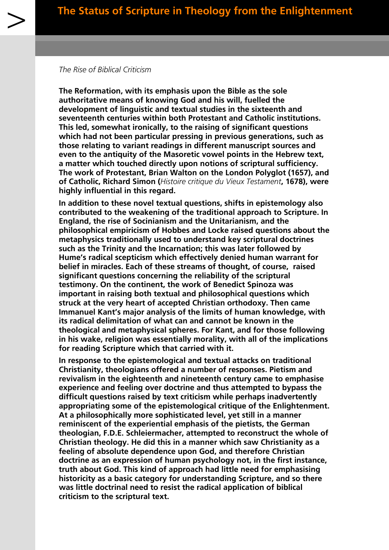# *The Rise of Biblical Criticism*

**The Reformation, with its emphasis upon the Bible as the sole authoritative means of knowing God and his will, fuelled the development of linguistic and textual studies in the sixteenth and seventeenth centuries within both Protestant and Catholic institutions. This led, somewhat ironically, to the raising of significant questions which had not been particular pressing in previous generations, such as those relating to variant readings in different manuscript sources and even to the antiquity of the Masoretic vowel points in the Hebrew text, a matter which touched directly upon notions of scriptural sufficiency. The work of Protestant, Brian Walton on the London Polyglot (1657), and of Catholic, Richard Simon (***Histoire critique du Vieux Testament***, 1678), were highly influential in this regard.** 

**In addition to these novel textual questions, shifts in epistemology also contributed to the weakening of the traditional approach to Scripture. In England, the rise of Socinianism and the Unitarianism, and the philosophical empiricism of Hobbes and Locke raised questions about the metaphysics traditionally used to understand key scriptural doctrines such as the Trinity and the Incarnation; this was later followed by Hume's radical scepticism which effectively denied human warrant for belief in miracles. Each of these streams of thought, of course, raised significant questions concerning the reliability of the scriptural testimony. On the continent, the work of Benedict Spinoza was important in raising both textual and philosophical questions which struck at the very heart of accepted Christian orthodoxy. Then came Immanuel Kant's major analysis of the limits of human knowledge, with its radical delimitation of what can and cannot be known in the theological and metaphysical spheres. For Kant, and for those following in his wake, religion was essentially morality, with all of the implications for reading Scripture which that carried with it.** 

**In response to the epistemological and textual attacks on traditional Christianity, theologians offered a number of responses. Pietism and revivalism in the eighteenth and nineteenth century came to emphasise experience and feeling over doctrine and thus attempted to bypass the difficult questions raised by text criticism while perhaps inadvertently appropriating some of the epistemological critique of the Enlightenment. At a philosophically more sophisticated level, yet still in a manner reminiscent of the experiential emphasis of the pietists, the German theologian, F.D.E. Schleiermacher, attempted to reconstruct the whole of Christian theology. He did this in a manner which saw Christianity as a feeling of absolute dependence upon God, and therefore Christian doctrine as an expression of human psychology not, in the first instance, truth about God. This kind of approach had little need for emphasising historicity as a basic category for understanding Scripture, and so there was little doctrinal need to resist the radical application of biblical criticism to the scriptural text.**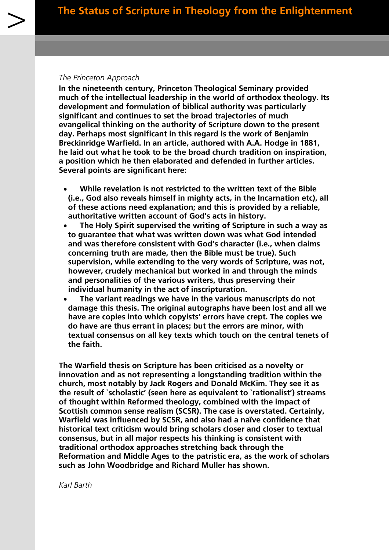# *The Princeton Approach*

**In the nineteenth century, Princeton Theological Seminary provided much of the intellectual leadership in the world of orthodox theology. Its development and formulation of biblical authority was particularly significant and continues to set the broad trajectories of much evangelical thinking on the authority of Scripture down to the present day. Perhaps most significant in this regard is the work of Benjamin Breckinridge Warfield. In an article, authored with A.A. Hodge in 1881, he laid out what he took to be the broad church tradition on inspiration, a position which he then elaborated and defended in further articles. Several points are significant here:** 

- **While revelation is not restricted to the written text of the Bible (i.e., God also reveals himself in mighty acts, in the Incarnation etc), all of these actions need explanation; and this is provided by a reliable, authoritative written account of God's acts in history.**
- **The Holy Spirit supervised the writing of Scripture in such a way as to guarantee that what was written down was what God intended and was therefore consistent with God's character (i.e., when claims concerning truth are made, then the Bible must be true). Such supervision, while extending to the very words of Scripture, was not, however, crudely mechanical but worked in and through the minds and personalities of the various writers, thus preserving their individual humanity in the act of inscripturation.**
- **The variant readings we have in the various manuscripts do not damage this thesis. The original autographs have been lost and all we have are copies into which copyists' errors have crept. The copies we do have are thus errant in places; but the errors are minor, with textual consensus on all key texts which touch on the central tenets of the faith.**

**The Warfield thesis on Scripture has been criticised as a novelty or innovation and as not representing a longstanding tradition within the church, most notably by Jack Rogers and Donald McKim. They see it as the result of `scholastic' (seen here as equivalent to `rationalist') streams of thought within Reformed theology, combined with the impact of Scottish common sense realism (SCSR). The case is overstated. Certainly, Warfield was influenced by SCSR, and also had a naïve confidence that historical text criticism would bring scholars closer and closer to textual consensus, but in all major respects his thinking is consistent with traditional orthodox approaches stretching back through the Reformation and Middle Ages to the patristic era, as the work of scholars such as John Woodbridge and Richard Muller has shown.** 

*Karl Barth*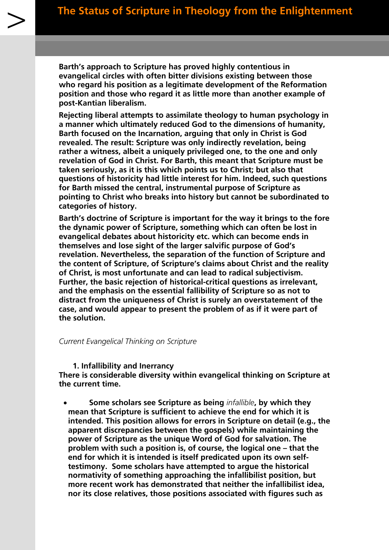**Barth's approach to Scripture has proved highly contentious in evangelical circles with often bitter divisions existing between those who regard his position as a legitimate development of the Reformation position and those who regard it as little more than another example of post-Kantian liberalism.** 

**Rejecting liberal attempts to assimilate theology to human psychology in a manner which ultimately reduced God to the dimensions of humanity, Barth focused on the Incarnation, arguing that only in Christ is God revealed. The result: Scripture was only indirectly revelation, being rather a witness, albeit a uniquely privileged one, to the one and only revelation of God in Christ. For Barth, this meant that Scripture must be taken seriously, as it is this which points us to Christ; but also that questions of historicity had little interest for him. Indeed, such questions for Barth missed the central, instrumental purpose of Scripture as pointing to Christ who breaks into history but cannot be subordinated to categories of history.** 

**Barth's doctrine of Scripture is important for the way it brings to the fore the dynamic power of Scripture, something which can often be lost in evangelical debates about historicity etc. which can become ends in themselves and lose sight of the larger salvific purpose of God's revelation. Nevertheless, the separation of the function of Scripture and the content of Scripture, of Scripture's claims about Christ and the reality of Christ, is most unfortunate and can lead to radical subjectivism. Further, the basic rejection of historical-critical questions as irrelevant, and the emphasis on the essential fallibility of Scripture so as not to distract from the uniqueness of Christ is surely an overstatement of the case, and would appear to present the problem of as if it were part of the solution.** 

### *Current Evangelical Thinking on Scripture*

**1. Infallibility and Inerrancy** 

**There is considerable diversity within evangelical thinking on Scripture at the current time.** 

• **Some scholars see Scripture as being** *infallible***, by which they mean that Scripture is sufficient to achieve the end for which it is intended. This position allows for errors in Scripture on detail (e.g., the apparent discrepancies between the gospels) while maintaining the power of Scripture as the unique Word of God for salvation. The problem with such a position is, of course, the logical one – that the end for which it is intended is itself predicated upon its own selftestimony. Some scholars have attempted to argue the historical normativity of something approaching the infallibilist position, but more recent work has demonstrated that neither the infallibilist idea, nor its close relatives, those positions associated with figures such as**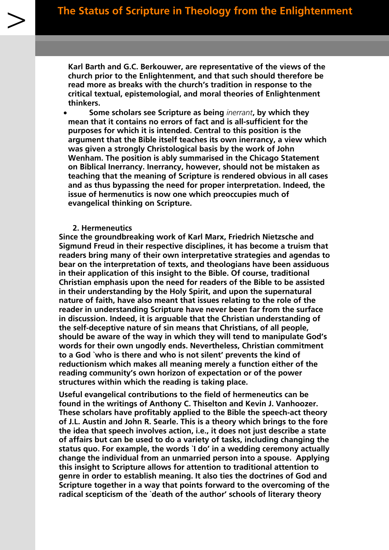**Karl Barth and G.C. Berkouwer, are representative of the views of the church prior to the Enlightenment, and that such should therefore be read more as breaks with the church's tradition in response to the critical textual, epistemologial, and moral theories of Enlightenment thinkers.** 

• **Some scholars see Scripture as being** *inerrant***, by which they mean that it contains no errors of fact and is all-sufficient for the purposes for which it is intended. Central to this position is the argument that the Bible itself teaches its own inerrancy, a view which was given a strongly Christological basis by the work of John Wenham. The position is ably summarised in the Chicago Statement on Biblical Inerrancy. Inerrancy, however, should not be mistaken as teaching that the meaning of Scripture is rendered obvious in all cases and as thus bypassing the need for proper interpretation. Indeed, the issue of hermenutics is now one which preoccupies much of evangelical thinking on Scripture.** 

### **2. Hermeneutics**

**Since the groundbreaking work of Karl Marx, Friedrich Nietzsche and Sigmund Freud in their respective disciplines, it has become a truism that readers bring many of their own interpretative strategies and agendas to bear on the interpretation of texts, and theologians have been assiduous in their application of this insight to the Bible. Of course, traditional Christian emphasis upon the need for readers of the Bible to be assisted in their understanding by the Holy Spirit, and upon the supernatural nature of faith, have also meant that issues relating to the role of the reader in understanding Scripture have never been far from the surface in discussion. Indeed, it is arguable that the Christian understanding of the self-deceptive nature of sin means that Christians, of all people, should be aware of the way in which they will tend to manipulate God's words for their own ungodly ends. Nevertheless, Christian commitment to a God `who is there and who is not silent' prevents the kind of reductionism which makes all meaning merely a function either of the reading community's own horizon of expectation or of the power structures within which the reading is taking place.** 

**Useful evangelical contributions to the field of hermeneutics can be found in the writings of Anthony C. Thiselton and Kevin J. Vanhoozer. These scholars have profitably applied to the Bible the speech-act theory of J.L. Austin and John R. Searle. This is a theory which brings to the fore the idea that speech involves action, i.e., it does not just describe a state of affairs but can be used to do a variety of tasks, including changing the status quo. For example, the words `I do' in a wedding ceremony actually change the individual from an unmarried person into a spouse. Applying this insight to Scripture allows for attention to traditional attention to genre in order to establish meaning. It also ties the doctrines of God and Scripture together in a way that points forward to the overcoming of the radical scepticism of the `death of the author' schools of literary theory**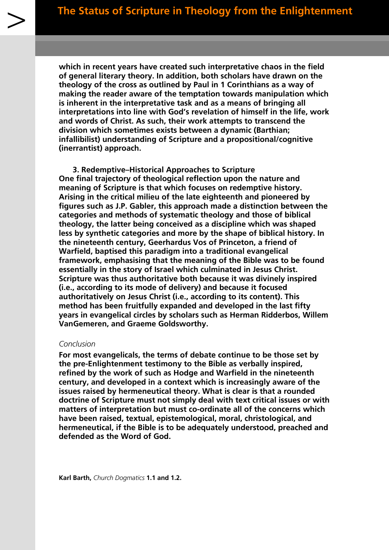**which in recent years have created such interpretative chaos in the field of general literary theory. In addition, both scholars have drawn on the theology of the cross as outlined by Paul in 1 Corinthians as a way of making the reader aware of the temptation towards manipulation which is inherent in the interpretative task and as a means of bringing all interpretations into line with God's revelation of himself in the life, work and words of Christ. As such, their work attempts to transcend the division which sometimes exists between a dynamic (Barthian; infallibilist) understanding of Scripture and a propositional/cognitive (inerrantist) approach.** 

**3. Redemptive–Historical Approaches to Scripture One final trajectory of theological reflection upon the nature and meaning of Scripture is that which focuses on redemptive history. Arising in the critical milieu of the late eighteenth and pioneered by figures such as J.P. Gabler, this approach made a distinction between the categories and methods of systematic theology and those of biblical theology, the latter being conceived as a discipline which was shaped less by synthetic categories and more by the shape of biblical history. In the nineteenth century, Geerhardus Vos of Princeton, a friend of Warfield, baptised this paradigm into a traditional evangelical framework, emphasising that the meaning of the Bible was to be found essentially in the story of Israel which culminated in Jesus Christ. Scripture was thus authoritative both because it was divinely inspired (i.e., according to its mode of delivery) and because it focused authoritatively on Jesus Christ (i.e., according to its content). This method has been fruitfully expanded and developed in the last fifty years in evangelical circles by scholars such as Herman Ridderbos, Willem VanGemeren, and Graeme Goldsworthy.** 

### *Conclusion*

**For most evangelicals, the terms of debate continue to be those set by the pre-Enlightenment testimony to the Bible as verbally inspired, refined by the work of such as Hodge and Warfield in the nineteenth century, and developed in a context which is increasingly aware of the issues raised by hermeneutical theory. What is clear is that a rounded doctrine of Scripture must not simply deal with text critical issues or with matters of interpretation but must co-ordinate all of the concerns which have been raised, textual, epistemological, moral, christological, and hermeneutical, if the Bible is to be adequately understood, preached and defended as the Word of God.**